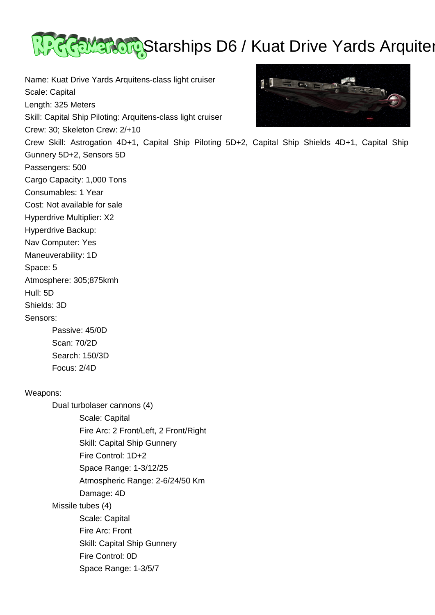

Name: Kuat Drive Yards Arquitens-class light cruiser  $\blacksquare$  $\frac{1}{2}$ Scale: Capital Length: 325 Meters Skill: Capital Ship Piloting: Arquitens-class light cruiser Crew: 30; Skeleton Crew: 2/+10 Crew Skill: Astrogation 4D+1, Capital Ship Piloting 5D+2, Capital Ship Shields 4D+1, Capital Ship Gunnery 5D+2, Sensors 5D Passengers: 500 Cargo Capacity: 1,000 Tons Consumables: 1 Year Cost: Not available for sale Hyperdrive Multiplier: X2 Hyperdrive Backup: Nav Computer: Yes Maneuverability: 1D Space: 5 Atmosphere: 305;875kmh Hull: 5D Shields: 3D Sensors: Passive: 45/0D Scan: 70/2D Search: 150/3D Focus: 2/4D Weapons: Dual turbolaser cannons (4) Scale: Capital Fire Arc: 2 Front/Left, 2 Front/Right

 Skill: Capital Ship Gunnery Fire Control: 1D+2 Space Range: 1-3/12/25 Atmospheric Range: 2-6/24/50 Km Damage: 4D Missile tubes (4) Scale: Capital Fire Arc: Front Skill: Capital Ship Gunnery Fire Control: 0D Space Range: 1-3/5/7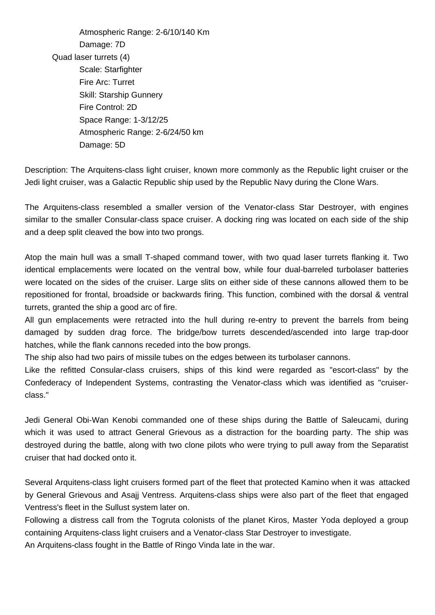Atmospheric Range: 2-6/10/140 Km Damage: 7D Quad laser turrets (4) Scale: Starfighter Fire Arc: Turret Skill: Starship Gunnery Fire Control: 2D Space Range: 1-3/12/25 Atmospheric Range: 2-6/24/50 km Damage: 5D

Description: The Arquitens-class light cruiser, known more commonly as the Republic light cruiser or the Jedi light cruiser, was a Galactic Republic ship used by the Republic Navy during the Clone Wars.

The Arquitens-class resembled a smaller version of the Venator-class Star Destroyer, with engines similar to the smaller Consular-class space cruiser. A docking ring was located on each side of the ship and a deep split cleaved the bow into two prongs.

Atop the main hull was a small T-shaped command tower, with two quad laser turrets flanking it. Two identical emplacements were located on the ventral bow, while four dual-barreled turbolaser batteries were located on the sides of the cruiser. Large slits on either side of these cannons allowed them to be repositioned for frontal, broadside or backwards firing. This function, combined with the dorsal & ventral turrets, granted the ship a good arc of fire.

All gun emplacements were retracted into the hull during re-entry to prevent the barrels from being damaged by sudden drag force. The bridge/bow turrets descended/ascended into large trap-door hatches, while the flank cannons receded into the bow prongs.

The ship also had two pairs of missile tubes on the edges between its turbolaser cannons.

Like the refitted Consular-class cruisers, ships of this kind were regarded as "escort-class" by the Confederacy of Independent Systems, contrasting the Venator-class which was identified as "cruiserclass."

Jedi General Obi-Wan Kenobi commanded one of these ships during the Battle of Saleucami, during which it was used to attract General Grievous as a distraction for the boarding party. The ship was destroyed during the battle, along with two clone pilots who were trying to pull away from the Separatist cruiser that had docked onto it.

Several Arquitens-class light cruisers formed part of the fleet that protected Kamino when it was attacked by General Grievous and Asajj Ventress. Arquitens-class ships were also part of the fleet that engaged Ventress's fleet in the Sullust system later on.

Following a distress call from the Togruta colonists of the planet Kiros, Master Yoda deployed a group containing Arquitens-class light cruisers and a Venator-class Star Destroyer to investigate.

An Arquitens-class fought in the Battle of Ringo Vinda late in the war.